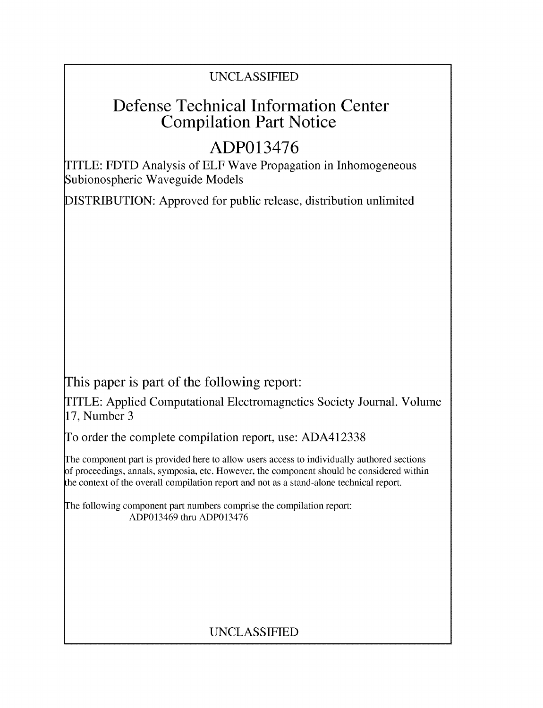## UNCLASSIFIED

## Defense Technical Information Center Compilation Part Notice

## **ADP013476**

TITLE: FDTD Analysis of ELF Wave Propagation in Inhomogeneous Subionospheric Waveguide Models

DISTRIBUTION: Approved for public release, distribution unlimited

This paper is part of the following report:

TITLE: Applied Computational Electromagnetics Society Journal. Volume 17, Number 3

To order the complete compilation report, use: ADA412338

The component part is provided here to allow users access to individually authored sections f proceedings, annals, symposia, etc. However, the component should be considered within the context of the overall compilation report and not as a stand-alone technical report.

The following component part numbers comprise the compilation report: ADP013469 thru ADP013476

## UNCLASSIFIED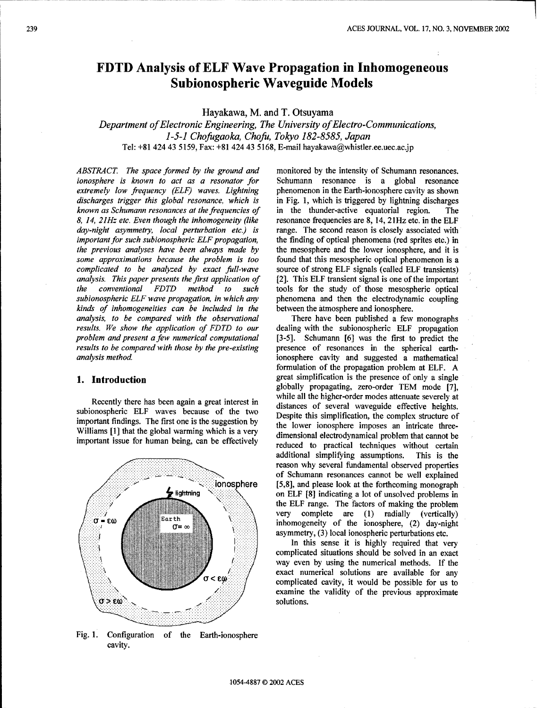## FDTD Analysis of **ELF** Wave Propagation in Inhomogeneous Subionospheric Waveguide Models

### Hayakawa, M. and T. Otsuyama

*Department of Electronic Engineering, The University of Electro-Communications, 1-5-1 Chofugaoka, Chofu, Tokyo 182-8585, Japan* Tel: **+81** 424 43 5159, Fax: +81 424 43 5168, E-mail hayakawa@whistler.ee.uec.ac.jp

*ABSTRACT. The space formed by the ground and* monitored by the intensity of Schumann resonances.<br> *ionosphere is known to act as a resonator for* Schumann resonance is a global resonance *extremely low frequency (ELF) waves. Lightning* phenomenon in the Earth-ionosphere cavity as shown *discharges trigger this global resonance*, *which* is in Fig. 1, which is triggered by lightning discharges *discharges trigger this global resonance, which is known as Schumann resonances at the frequencies of* in the thunder-active equatorial region. The *day-night asymmetry, local perturbation etc.)* is range. The second reason is closely associated with *important for such subionospheric ELF propagation*, the finding of optical phenomena (red sprites etc.) in *important for such subionospheric ELF propagation, the previous analyses have been always made by some approximations because the problem is too* found that this mesospheric optical phenomenon is a *complicated to be analyzed by exact full-wave* source of strong ELF signals (called ELF transients) *analysis. This paper presents the first application of* [2]. This ELF transient signal is one of the important *analysis. This paper presents the first application of the conventional FDTD method to such subionospheric ELF wave propagation, in which any kinds of inhomogeneities can be included in the* between the atmosphere and ionosphere. *analysis, to be compared with the observational* There have been published a few monographs *results. We show the application of FDTD to our* dealing with the subionospheric ELF propagation *problem and present a few numerical computational* [3-5]. Schumann [6] was the first to predict the *results to be compared with those by the pre-existing* presence of resonances in the spherical earth-

important findings. The first one is the suggestion by the lower ionosphere imposes an intricate three-<br>Williams III that the solution is the state of the lower ionosphere imposes an intricate three-



Fig. 1. Configuration of the Earth-ionosphere cavity.

*Schumann* resonance is a global resonance phenomenon in the Earth-ionosphere cavity as shown *fequencies are 8, 14, 21Hz etc. in the ELF range.* The second reason is closely associated with the mesosphere and the lower ionosphere, and it is *the conventional for the study of those mesospheric optical ch any* phenomena and then the electrodynamic coupling

*analysis method* ionosphere cavity and suggested a mathematical formulation of the propagation problem at ELF. A **1. Introduction** great simplification is the presence of only a single globally propagating, zero-order TEM mode [7], Recently there has been again a great interest in while all the higher-order modes attenuate severely at distances of several waveguide effective heights. subionospheric ELF waves because of the two usualices of several waveguide effective neights. Williams [1] that the global warming which is a very dimensional electrodynamical problem that cannot be important issue for human being, can be effectively<br>reduced to practical techniques without certain additional simplifying assumptions. This is the **...........** reason why several fundamental observed properties **....... of** Schumann resonances cannot be well explained  $\sim$  ightning ionosphere [5,8], and please look at the forthcoming monograph ightning  $\sim$  on ELF [8] indicating a lot of unsolved problems in on ELF [8] indicating a lot of unsolved problems in the ELF range. The factors of making the problem Earth **Markov (1)** very complete are (1) radially (vertically)  $U = E\omega$   $\omega$   $\alpha = \omega$  **Example 10** inhomogeneity of the ionosphere, (2) day-night asymmetry, (3) local ionospheric perturbations etc. **... ..In** this sense it is highly required that very

complicated situations should be solved in an exact way even by using the numerical methods. If the exact numerical solutions are available for any EQUIREAR **EXAMPLE FOR A COMPLICATE FOR A COMPLICATE CONSUMING** COMPLICATE COMPLICATE COMPLICATE COMPLICATE COMPLICATE COMPLICATE COMPLICATE COMPLICATE COMPLICATE COMPLICATE COMPLICATE COMPLICATE COMPLICATE COMPLICATE COMPL examine the validity of the previous approximate solutions.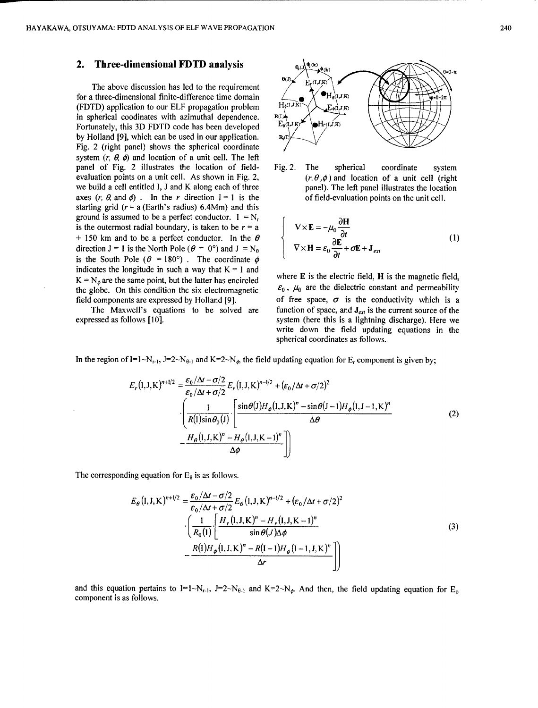### 2. Three-dimensional FDTD analysis **0(k)**

The above discussion has led to the requirement *0* for a three-dimensional finite-difference time domain  $\left\{\bigotimes_{H_0(I,J,K)} \bigotimes_{H_1(I,J,K)} \bigotimes_{H_2(I,J,K)} \bigotimes_{H_1(I,J,K)} \bigotimes_{H_2(I,J,K)} \bigotimes_{H_1(I,J,K)} \bigotimes_{H_2(I,J,K)} \bigotimes_{H_1(I,J,K)} \bigotimes_{H_1(I,J,K)} \bigotimes_{H_1(I,J,K)} \bigotimes_{H_1(I,J,K)} \bigotimes_{H_1(I,J,K)} \bigotimes_{H_1(I,J,K)} \bigotimes_{H_$ (FDTD) application to our ELF propagation problem  $H_{\phi(I,J,K)} \times L_{\phi(I,J,K)}$ in spherical coodinates with azimuthal dependence.  $R(X)$ -<br>Fortunately this 3D FDTD code has been developed Fortunately, this 3D FDTD code has been developed  $E_0(I,J,K)$   $\bigoplus H_f(I,J,K)$ by Holland [9], which can be used in our application. Fig. 2 (right panel) shows the spherical coordinate system  $(r, \theta, \phi)$  and location of a unit cell. The left panel of Fig. 2 illustrates the location of field- Fig. 2. The spherical coordinate system evaluation points on a unit cell. As shown in Fig. 2,  $(r, \theta, \phi)$  and location of a unit cell (right we build a cell entitled I, J and K along each of three panel). The left panel illustrates the location axes  $(r, \theta, \text{ and } \phi)$ . In the r direction  $I = 1$  is the of field-evaluation points on the unit cell. starting grid ( $r = a$  (Earth's radius) 6.4Mm) and this ground is assumed to be a perfect conductor.  $I = N<sub>r</sub>$ is the outermost radial boundary, is taken to be  $r = a$  $+ 150$  km and to be a perfect conductor. In the  $\theta$ direction  $J = 1$  is the North Pole ( $\theta = 0^{\circ}$ ) and  $J = N_{\theta}$ is the South Pole  $(\theta = 180^{\circ})$ . The coordinate  $\phi$ indicates the longitude in such a way that  $K = 1$  and  $K = N_A$ , are the same point, but the latter has encircled the same point, but the latter has encircled where the globe. On this condition the six electromagnetic field components are expressed by Holland [9]. of free space,  $\sigma$  is the conductivity which is a



$$
\begin{cases}\n\nabla \times \mathbf{E} = -\mu_0 \frac{\partial \mathbf{H}}{\partial t} \\
\nabla \times \mathbf{H} = \varepsilon_0 \frac{\partial \mathbf{E}}{\partial t} + \sigma \mathbf{E} + \mathbf{J}_{ext}\n\end{cases}
$$
\n(1)

where **E** is the electric field, **H** is the magnetic field,  $\varepsilon_0$ ,  $\mu_0$  are the dielectric constant and permeability The Maxwell's equations to be solved are function of space, and  $J_{ex}$  is the current source of the expressed as follows [10]. system (here this is a lightning discharge). Here we write down the field updating equations in the spherical coordinates as follows.

In the region of I=1~N<sub>r-1</sub>, J=2~N<sub>0-1</sub> and K=2~N<sub>0</sub>, the field updating equation for E<sub>r</sub> component is given by;

$$
E_r(I,J,K)^{n+1/2} = \frac{\varepsilon_0/\Delta t - \sigma/2}{\varepsilon_0/\Delta t + \sigma/2} E_r(I,J,K)^{n-1/2} + (\varepsilon_0/\Delta t + \sigma/2)^2
$$

$$
\cdot \left( \frac{1}{R(I)\sin\theta_0(J)} \cdot \left[ \frac{\sin\theta(J)H_\phi(I,J,K)^n - \sin\theta(J-1)H_\phi(I,J-1,K)^n}{\Delta\theta} - \frac{H_\theta(I,J,K)^n - H_\theta(I,J,K-1)^n}{\Delta\phi} \right] \right)
$$
(2)

The corresponding equation for  $E_\theta$  is as follows.

$$
E_{\theta} (I, J, K)^{n+1/2} = \frac{\varepsilon_0 / \Delta t - \sigma/2}{\varepsilon_0 / \Delta t + \sigma/2} E_{\theta} (I, J, K)^{n-1/2} + (\varepsilon_0 / \Delta t + \sigma/2)^2
$$

$$
\cdot \left( \frac{1}{R_0 (I)} \left[ \frac{H_r (I, J, K)^n - H_r (I, J, K - 1)^n}{\sin \theta (J) \Delta \phi} - \frac{R (I) H_{\phi} (I, J, K)^n - R (I - I) H_{\phi} (I - 1, J, K)^n}{\Delta r} \right] \right)
$$
(3)

and this equation pertains to  $I=1-N_{r-1}$ ,  $J=2-N_{\theta-1}$  and  $K=2-N_{\phi}$ . And then, the field updating equation for  $E_{\phi}$ component is as follows.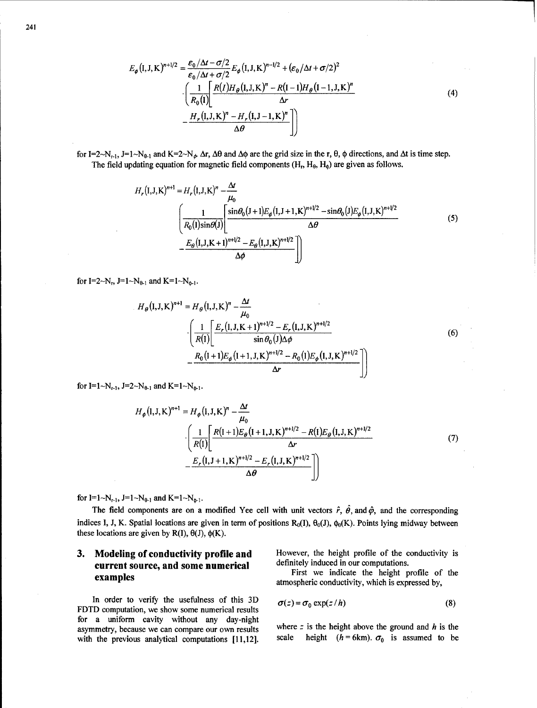for I=2~N<sub>r-1</sub>, J=1~N<sub>0-1</sub> and K=2~N<sub> $\phi$ </sub>  $\Delta$ r,  $\Delta\theta$  and  $\Delta\phi$  are the grid size in the r,  $\theta$ ,  $\phi$  directions, and  $\Delta t$  is time step. The field updating equation for magnetic field components  $(H_t, H_\theta, H_\phi)$  are given as follows.

$$
H_r(I,J,K)^{n+1} = H_r(I,J,K)^n - \frac{\Delta t}{\mu_0}
$$
  

$$
\left[ \frac{1}{R_0(I)\sin\theta(J)} \left[ \frac{\sin\theta_0 (J+1)E_\phi(I,J+1,K)^{n+1/2} - \sin\theta_0(J)E_\phi(I,J,K)^{n+1/2}}{\Delta\theta} - \frac{E_\theta(I,J,K+1)^{n+1/2} - E_\theta(I,J,K)^{n+1/2}}{\Delta\phi} \right] \right]
$$
(5)

for  $I=2~N_r$ ,  $J=1~N_{\theta-1}$  and  $K=1~N_{\phi-1}$ .

$$
H_{\theta}(\mathbf{I},\mathbf{J},\mathbf{K})^{n+1} = H_{\theta}(\mathbf{I},\mathbf{J},\mathbf{K})^{n} - \frac{\Delta t}{\mu_{0}} \cdot \left( \frac{1}{R(\mathbf{I})} \left[ \frac{E_{r}(\mathbf{I},\mathbf{J},\mathbf{K}+\mathbf{1})^{n+1/2} - E_{r}(\mathbf{I},\mathbf{J},\mathbf{K})^{n+1/2}}{\sin \theta_{0}(\mathbf{J}) \Delta \phi} - \frac{R_{0}(\mathbf{I}+\mathbf{1}) E_{\phi}(\mathbf{I}+\mathbf{1},\mathbf{J},\mathbf{K})^{n+1/2} - R_{0}(\mathbf{I}) E_{\phi}(\mathbf{I},\mathbf{J},\mathbf{K})^{n+1/2}}{\Delta r} \right)
$$
(6)

for I=1~N<sub>r-1</sub>, J=2~N<sub>0-1</sub> and K=1~N<sub>0-1</sub>.

$$
H_{\phi}(\mathbf{I}, \mathbf{J}, \mathbf{K})^{n+1} = H_{\phi}(\mathbf{I}, \mathbf{J}, \mathbf{K})^{n} - \frac{\Delta t}{\mu_{0}} \cdot \left( \frac{1}{R(\mathbf{I})} \left[ \frac{R(\mathbf{I} + \mathbf{1}) E_{\theta}(\mathbf{I} + \mathbf{I}, \mathbf{J}, \mathbf{K})^{n+1/2} - R(\mathbf{I}) E_{\theta}(\mathbf{I}, \mathbf{J}, \mathbf{K})^{n+1/2}}{\Delta r} - \frac{E_{r}(\mathbf{I}, \mathbf{J} + \mathbf{I}, \mathbf{K})^{n+1/2} - E_{r}(\mathbf{I}, \mathbf{J}, \mathbf{K})^{n+1/2}}{\Delta \theta} \right) \tag{7}
$$

for I=1~N<sub>r-1</sub>, J=1~N<sub>0-1</sub> and K=1~N<sub>0-1</sub>.

The field components are on a modified Yee cell with unit vectors  $\hat{r}$ ,  $\hat{\theta}$ , and  $\hat{\phi}$ , and the corresponding indices I, J, K. Spatial locations are given in term of positions  $R_0(1)$ ,  $\theta_0(1)$ ,  $\phi_0(K)$ . Points lying midway between these locations are given by R(I),  $\theta$ (J),  $\phi$ (K).

# **current source, and some numerical** definitely induced in our computations.<br>**Examples examples atmospheric conductivity**, which is expressed by,

In order to verify the usefulness of this 3D FDTD computation, we show some numerical results for a uniform cavity without any day-night with the previous analytical computations [11,12]. scale height  $(h=6km)$ .  $\sigma_0$  is assumed to be

**3. Modeling of conductivity profile and** However, the height profile of the conductivity is current source and some numerical definitely induced in our computations.

$$
\sigma(z) = \sigma_0 \exp(z/h) \tag{8}
$$

asymmetry, because we can compare our own results where z is the height above the ground and  $h$  is the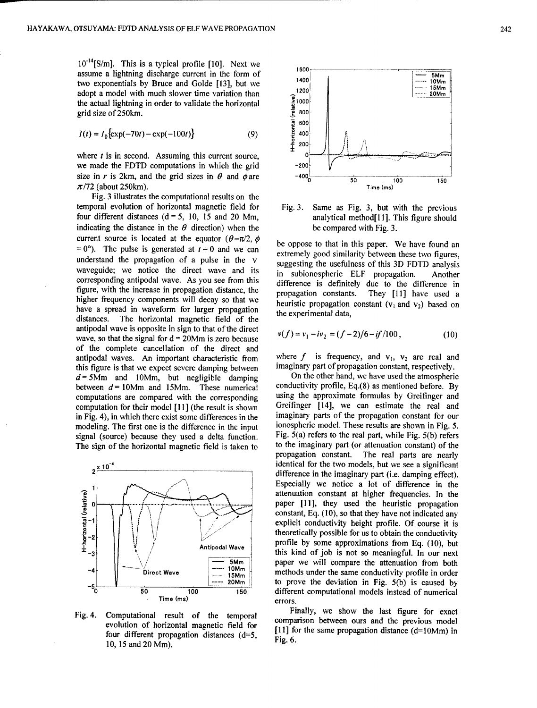10<sup>-14</sup>[S/m]. This is a typical profile [10]. Next we assume a lightning discharge current in the form of **1600** two exponentials by Bruce and Golde [13], but we 1<sup>400</sup><br>
dont a medal with much alower time weighting the 1200. **local materials** in the 15Mm adopt a model with much slower time variation than  $\frac{1200}{300}$  ...... 20Mm. the actual lightning in order to validate the horizontal grid size of 250km.

$$
I(t) = I_0 \{ \exp(-70t) - \exp(-100t) \}
$$
 (9)

where  $t$  is in second. Assuming this current source, we made the FDTD computations in which the grid<br>size in r is 2km, and the grid sizes in  $\theta$  and  $\phi$  are  $-400_0$ size in r is 2km, and the grid sizes in  $\theta$  and  $\phi$  are  $-400\frac{1}{00}$  100 100 150  $\pi/72$  (about 250km). Time (ms)

Fig. 3 illustrates the computational results on the temporal evolution of horizontal magnetic field for Fig. 3. Same as Fig. **3,** but with the previous four different distances (d = 5, 10, 15 and 20 Mm, analytical method[11]. This figure should indicating the distance in the  $\theta$  direction) when the be compared with Fig. 3. current source is located at the equator  $(\theta = \pi/2, \phi)$  be oppose to that in this paper. We have found an  $= 0^\circ$ ). The pulse is generated at  $t = 0$  and we can extremely good similarity between these two figures, understand the propagation of a pulse in the v suggesting the usefulness of this 3D FDTD analysis waveguide; we notice the direct wave and its in subionospheric ELF propagation. Another corresponding antipodal wave. As you see from this difference is definitely due to the difference in figure, with the increase in propagation distance, the propagation constants. They [11] have used a higher frequency components will decay so that we have a spread in waveform for larger propagation the experimental data, distances. The horizontal magnetic field of the antipodal wave is opposite in sign to that of the direct wave, so that the signal for  $d = 20Mm$  is zero because of the complete cancellation of the direct and antipodal waves. An important characteristic from where f is frequency, and  $v_1$ ,  $v_2$  are real and this figure is that we expect severe damning between imaginary part of propagation constant, respectively. this figure is that we expect severe damping between imaginary part of propagation constant, respectively.<br> $d = 5$ Mm and 10Mm, but negligible damping On the other hand, we have used the atmospheric  $d = 5$ Mm and 10Mm, but negligible damping On the other hand, we have used the atmospheric<br>between  $d = 10$ Mm and 15Mm. These numerical conductivity profile, Eq.(8) as mentioned before. By between  $d = 10$ Mm and 15Mm. These numerical computations are compared with the corresponding using the approximate formulas by Greifinger and computation for their model [11] (the result is shown Greifinger [14], we can estimate the real and in Fig. 4), in which there exist some differences in the imaginary parts of the propagation constant for our modeling. The first one is the difference in the input ionospheric model. These results are shown in Fig. 5. modeling. The first one is the difference in the input signal (source) because they used a delta function. Fig. 5(a) refers to the real part, while Fig. 5(b) refers



10, 15 and 20 Mm).



$$
v(f) = v_1 - iv_2 = (f - 2)/6 - if/100,
$$
 (10)

The sign of the horizontal magnetic field is taken to the imaginary part (or attenuation constant) of the propagation constant. The real parts are nearly  $2 \times 10^{-4}$  identical for the two models, but we see a significant difference in the imaginary part (i.e. damping effect). Especially we notice a lot of difference in the attenuation constant at higher frequencies. In the  $\begin{array}{c|c|c|c|c|c} \hline \mathbf{1} & \mathbf{2} & \mathbf{3} & \mathbf{4} & \mathbf{5} & \mathbf{6} & \mathbf{7} & \mathbf{8} & \mathbf{8} & \mathbf{9} & \mathbf{10} & \mathbf{10} & \mathbf{10} & \mathbf{10} & \mathbf{10} & \mathbf{10} & \mathbf{10} & \mathbf{10} & \mathbf{10} & \mathbf{10} & \mathbf{10} & \mathbf{10} & \mathbf{10} & \mathbf{10} & \mathbf{10} & \mathbf{10} & \math$ constant, Eq. (10), so that they have not indicated any ,N.explicit conductivity height profile. Of course it is o theoretically possible for us to obtain the conductivity "r-2 l **V** i1 Antipodal Wave **profile by some approximations from Eq.** (10), but  $\begin{array}{|l|c|c|c|c|c|}\n\hline\n\text{1-4} & & & & & \text{this kind of job is not so meaningful. In our next paper we will compare the attenuation from both methods under the same conductivity are  $51 \text{ km/s}^{-1}$ .\n\end{array}$  $\begin{array}{r|l}\n\hline\n\text{Sum} & \text{10Mm} \\
\hline\n\text{15Mm} & \text{15Mm}\n\end{array}$  paper we will compare the attenuation from both<br>methods under the same conductivity profile in order **1. <b>20Mm to prove the deviation in Fig. 5(b) is caused by 100** 150 100 150 **different computational models instead of numerical**<br><sup>1</sup>00 150 **different computational models instead of numerical** 

Fig. 4. Computational result of the temporal Finally, we show the last figure for exact exomputational result of the temporare comparison between ours and the previous model<br>evolution of horizontal magnetic field for the same between propagation of the propagation of Evolution of horizonial magnetic field to<br>four different propagation distances (d=5,<br>Fig. 6.<br>Fig. 6.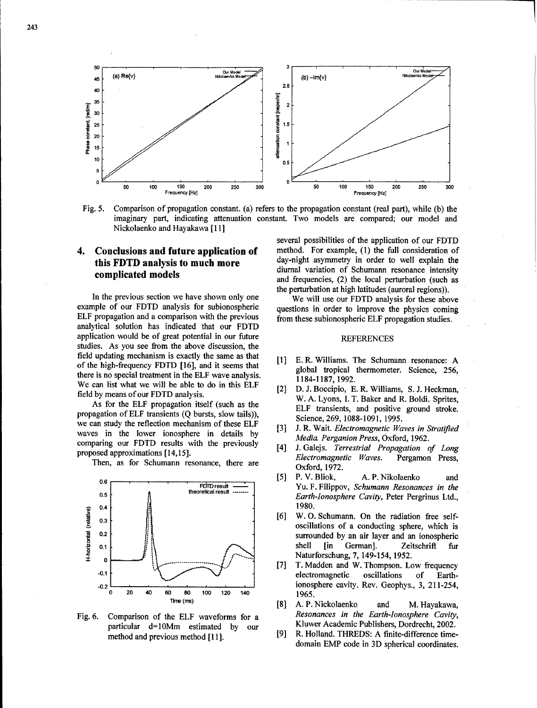

Fig. 5. Comparison of propagation constant. (a) refers to the propagation constant (real part), while (b) the imaginary part, indicating attenuation constant. Two models are compared; our model and Nickolaenko and Hayakawa [11]

# this FDTD analysis to much more

example of our FDTD analysis for subionospheric questions in order to improve the physics coming ELF propagation and a comparison with the previous from these subionospheric ELF propagation studies. analytical solution has indicated that our FDTD application would be of great potential in our future REFERENCES studies. As you see from the above discussion, the field updating mechanism is exactly the same as that [1] E. R. Williams. The Schumann resonance: A of the high-frequency FDTD [16], and it seems that global tropical thermometer. Science, **256,** there is no special treatment in the ELF wave analysis. 1184-1187, 1992. We can list what we will be able to do in this ELF [2] D. J. Boccipio, E. R. Williams, S. J. Heckman,

propagation of ELF transients **(Q** bursts, slow tails)), Science, 269, 1088-1091, 1995. we can study the reflection mechanism of these ELF **[3]** J. R. Wait. *Electromagnetic Waves in Stratified* waves in the lower ionosphere in details by *Media. Perganion Press*, Oxford, 1962. comparing our FDTD results with the previously

Then, as for Schumann resonance, there are  $Oxford$ , 1972.



particular d=1OMm estimated by our Kluwer Academic Publishers, Dordrecht, 2002.

several possibilities of the application of our FDTD 4. **Conclusions and future application of** method. For example, (1) the full consideration of this **EDTD** analysis to much more day-night asymmetry in order to well explain the **diurnal variation of Schumann resonance intensity<br>
<b>complicated models** and formulation (2) the lead particle of the distribution and frequencies, (2) the local perturbation (such as the perturbation at high latitudes (auroral regions)).<br>In the previous section we have shown only one We will use our FDTD analysis for these above

- 
- field by means of our FDTD analysis.<br>W. A. Lyons, I. T. Baker and R. Boldi. Sprites, As for the ELF propagation itself (such as the ELF transients, and positive ground stroke.
	-
- proposed approximations [14,15]. *Electromagnetic Waves.* Pergamon Press,
	- *[5]* P. V. Bliok, A. P. Nikolaenko and FrDTresulft Yu. F. Filippov, *Schumann Resonances in the* 0.5 **between the conditional result in the Cavity, Peter Pergrinus Ltd.,** Earth-Ionosphere Cavity, Peter Pergrinus Ltd.,
	- oscillations of a conducting sphere, which is  $S^2$  surrounded by an air layer and an ionospheric **0.1 •**  $\| \cdot \|$  **b b 1 c 1 b c c i c i c i c i c i c i c i c i c i c i c i c i c i c i c i c i c i i c i c i i i i i i 12 134, 1952.**<br> **12 13 13 149-154, 1952.**<br> **12 13 149-154, 1952.**<br> **12 149-154, 1952.**<br> **12 149-154, 1952.**
	- **-0.2** ionosphere cavity. Rev. Geophys., 3, 211-254, **<sup>0</sup>**20 40 **60 80 100** 120 140 1965.
- Time (ms) [8] A. P. Nickolaenko and M. Hayakawa, Fig. 6. Comparison of the ELF waveforms for a *Resonances in the Earth-Ionosphere Cavity,*
	- method and previous method [11]. [9] R. Holland. THREDS: A finite-difference timedomain EMP code in 3D spherical coordinates.